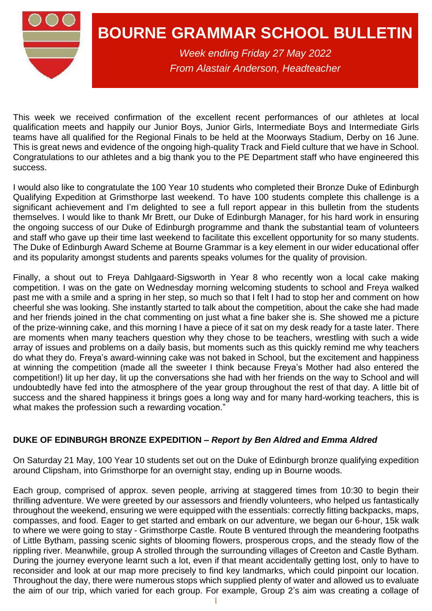

# **BOURNE GRAMMAR SCHOOL BULLETIN**

*Week ending Friday 27 May 2022 From Alastair Anderson, Headteacher*

This week we received confirmation of the excellent recent performances of our athletes at local qualification meets and happily our Junior Boys, Junior Girls, Intermediate Boys and Intermediate Girls teams have all qualified for the Regional Finals to be held at the Moorways Stadium, Derby on 16 June. This is great news and evidence of the ongoing high-quality Track and Field culture that we have in School. Congratulations to our athletes and a big thank you to the PE Department staff who have engineered this success.

I would also like to congratulate the 100 Year 10 students who completed their Bronze Duke of Edinburgh Qualifying Expedition at Grimsthorpe last weekend. To have 100 students complete this challenge is a significant achievement and I'm delighted to see a full report appear in this bulletin from the students themselves. I would like to thank Mr Brett, our Duke of Edinburgh Manager, for his hard work in ensuring the ongoing success of our Duke of Edinburgh programme and thank the substantial team of volunteers and staff who gave up their time last weekend to facilitate this excellent opportunity for so many students. The Duke of Edinburgh Award Scheme at Bourne Grammar is a key element in our wider educational offer and its popularity amongst students and parents speaks volumes for the quality of provision.

Finally, a shout out to Freya Dahlgaard-Sigsworth in Year 8 who recently won a local cake making competition. I was on the gate on Wednesday morning welcoming students to school and Freya walked past me with a smile and a spring in her step, so much so that I felt I had to stop her and comment on how cheerful she was looking. She instantly started to talk about the competition, about the cake she had made and her friends joined in the chat commenting on just what a fine baker she is. She showed me a picture of the prize-winning cake, and this morning I have a piece of it sat on my desk ready for a taste later. There are moments when many teachers question why they chose to be teachers, wrestling with such a wide array of issues and problems on a daily basis, but moments such as this quickly remind me why teachers do what they do. Freya's award-winning cake was not baked in School, but the excitement and happiness at winning the competition (made all the sweeter I think because Freya's Mother had also entered the competition!) lit up her day, lit up the conversations she had with her friends on the way to School and will undoubtedly have fed into the atmosphere of the year group throughout the rest of that day. A little bit of success and the shared happiness it brings goes a long way and for many hard-working teachers, this is what makes the profession such a rewarding vocation."

# **DUKE OF EDINBURGH BRONZE EXPEDITION –** *Report by Ben Aldred and Emma Aldred*

On Saturday 21 May, 100 Year 10 students set out on the Duke of Edinburgh bronze qualifying expedition around Clipsham, into Grimsthorpe for an overnight stay, ending up in Bourne woods.

Each group, comprised of approx. seven people, arriving at staggered times from 10:30 to begin their thrilling adventure. We were greeted by our assessors and friendly volunteers, who helped us fantastically throughout the weekend, ensuring we were equipped with the essentials: correctly fitting backpacks, maps, compasses, and food. Eager to get started and embark on our adventure, we began our 6-hour, 15k walk to where we were going to stay - Grimsthorpe Castle. Route B ventured through the meandering footpaths of Little Bytham, passing scenic sights of blooming flowers, prosperous crops, and the steady flow of the rippling river. Meanwhile, group A strolled through the surrounding villages of Creeton and Castle Bytham. During the journey everyone learnt such a lot, even if that meant accidentally getting lost, only to have to reconsider and look at our map more precisely to find key landmarks, which could pinpoint our location. Throughout the day, there were numerous stops which supplied plenty of water and allowed us to evaluate the aim of our trip, which varied for each group. For example, Group 2's aim was creating a collage of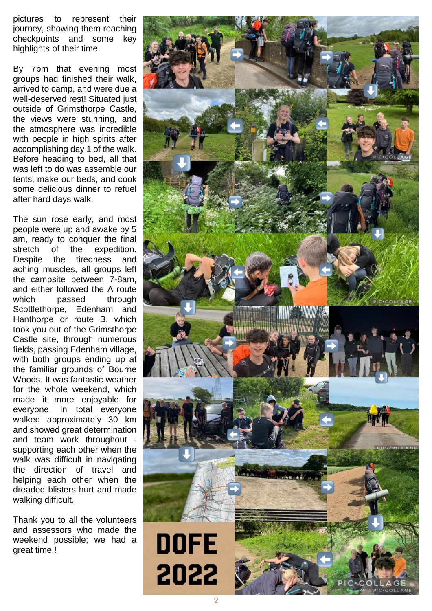pictures to represent their journey, showing them reaching checkpoints and some key highlights of their time.

By 7pm that evening most groups had finished their walk, arrived to camp, and were due a well -deserved rest! Situated just outside of Grimsthorpe Castle, the views were stunning, and the atmosphere was incredible with people in high spirits after accomplishing day 1 of the walk. Before heading to bed , all that was left to do was assemble our tents, make our beds, and cook some delicious dinner to refuel after hard days walk.

The sun rose early, and most people were up and awake by 5 am, ready to conquer the final stretch of the expedition. Despite the tiredness and aching muscles, all groups left the campsite between 7 -8am, and either followed the A route which passed through Scottlethorpe, Edenham and Hanthorpe or route B, which took you out of the Grimsthorpe Castle site, through numerous fields, passing Edenham villag e , with both groups ending up at the familiar grounds of Bourne Woods. It was fantastic weather for the whole weekend, which made it more enjoyable for everyone. In total everyone walked approximately 30 km and showed great determination and team work throughout supporting each other when the walk was difficult in navigating the direction of travel and helping each other when the dreaded blisters hurt and made walking difficult.

Thank you to all the volunteers and assessors who made the weekend possible; we had a great time!!

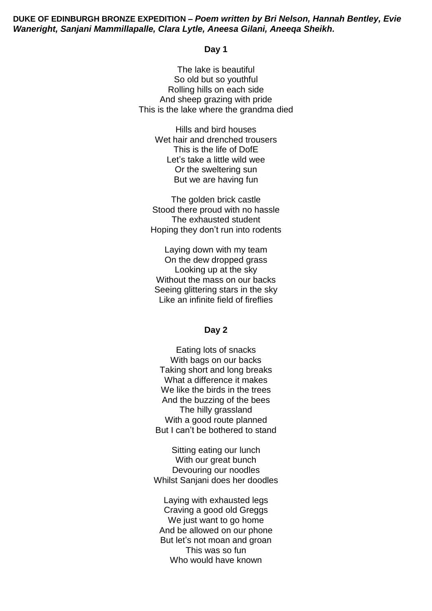#### **DUKE OF EDINBURGH BRONZE EXPEDITION –** *Poem written by Bri Nelson, Hannah Bentley, Evie Waneright, Sanjani Mammillapalle, Clara Lytle, Aneesa Gilani, Aneeqa Sheikh.*

#### **Day 1**

The lake is beautiful So old but so youthful Rolling hills on each side And sheep grazing with pride This is the lake where the grandma died

> Hills and bird houses Wet hair and drenched trousers This is the life of DofE Let's take a little wild wee Or the sweltering sun But we are having fun

The golden brick castle Stood there proud with no hassle The exhausted student Hoping they don't run into rodents

Laying down with my team On the dew dropped grass Looking up at the sky Without the mass on our backs Seeing glittering stars in the sky Like an infinite field of fireflies

#### **Day 2**

Eating lots of snacks With bags on our backs Taking short and long breaks What a difference it makes We like the birds in the trees And the buzzing of the bees The hilly grassland With a good route planned But I can't be bothered to stand

Sitting eating our lunch With our great bunch Devouring our noodles Whilst Sanjani does her doodles

Laying with exhausted legs Craving a good old Greggs We just want to go home And be allowed on our phone But let's not moan and groan This was so fun Who would have known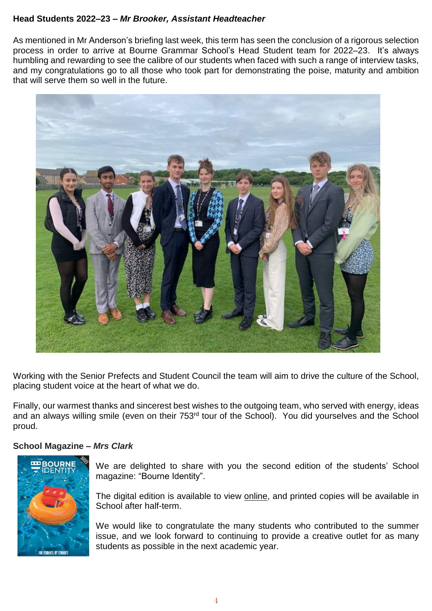### **Head Students 2022–23 –** *Mr Brooker, Assistant Headteacher*

As mentioned in Mr Anderson's briefing last week, this term has seen the conclusion of a rigorous selection process in order to arrive at Bourne Grammar School's Head Student team for 2022–23. It's always humbling and rewarding to see the calibre of our students when faced with such a range of interview tasks, and my congratulations go to all those who took part for demonstrating the poise, maturity and ambition that will serve them so well in the future.

![](_page_3_Picture_2.jpeg)

Working with the Senior Prefects and Student Council the team will aim to drive the culture of the School, placing student voice at the heart of what we do.

Finally, our warmest thanks and sincerest best wishes to the outgoing team, who served with energy, ideas and an always willing smile (even on their 753<sup>rd</sup> tour of the School). You did yourselves and the School proud.

#### **School Magazine –** *Mrs Clark*

![](_page_3_Picture_6.jpeg)

We are delighted to share with you the second edition of the students' School magazine: "Bourne Identity".

The digital edition is available to view [online,](https://mixam.co.uk/share/628f367d2968a35a9cd5467f) and printed copies will be available in School after half-term.

We would like to congratulate the many students who contributed to the summer issue, and we look forward to continuing to provide a creative outlet for as many students as possible in the next academic year.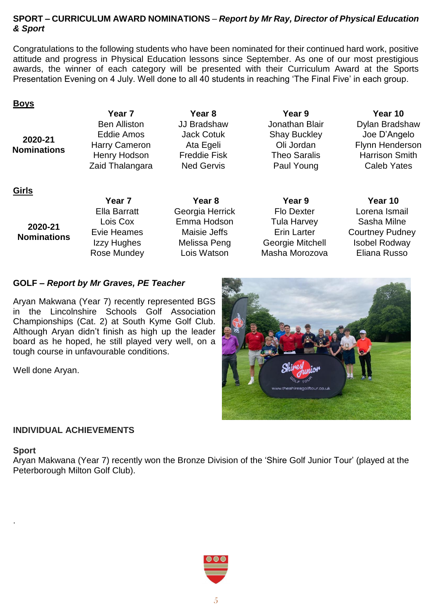#### **SPORT – CURRICULUM AWARD NOMINATIONS** – *Report by Mr Ray, Director of Physical Education & Sport*

Congratulations to the following students who have been nominated for their continued hard work, positive attitude and progress in Physical Education lessons since September. As one of our most prestigious awards, the winner of each category will be presented with their Curriculum Award at the Sports Presentation Evening on 4 July. Well done to all 40 students in reaching 'The Final Five' in each group.

#### **Boys**

**Girls**

**2020-21 Nominations**

**Year 7 Year 8 Year 9 Year 10** Eddie Amos Jack Cotuk Shay Buckley Joe D'Angelo Zaid Thalangara Ned Gervis Paul Young Caleb Yates

Ben Alliston JJ Bradshaw Jonathan Blair Dylan Bradshaw Harry Cameron Ata Egeli Cli Jordan Flynn Henderson Henry Hodson Freddie Fisk Theo Saralis Harrison Smith

#### **Year 7 Year 8 Year 9 Year 10 2020-21 Nominations** Ella Barratt Georgia Herrick Flo Dexter Lorena Ismail Lois Cox Emma Hodson Tula Harvey Sasha Milne Evie Heames Maisie Jeffs Erin Larter Courtney Pudney Izzy Hughes Melissa Peng Georgie Mitchell Isobel Rodway Rose Mundey **Lois Watson** Masha Morozova Eliana Russo

# **GOLF –** *Report by Mr Graves, PE Teacher*

Aryan Makwana (Year 7) recently represented BGS in the Lincolnshire Schools Golf Association Championships (Cat. 2) at South Kyme Golf Club. Although Aryan didn't finish as high up the leader board as he hoped, he still played very well, on a tough course in unfavourable conditions.

Well done Aryan.

![](_page_4_Picture_12.jpeg)

# **INDIVIDUAL ACHIEVEMENTS**

#### **Sport**

.

Aryan Makwana (Year 7) recently won the Bronze Division of the 'Shire Golf Junior Tour' (played at the Peterborough Milton Golf Club).

![](_page_4_Picture_16.jpeg)